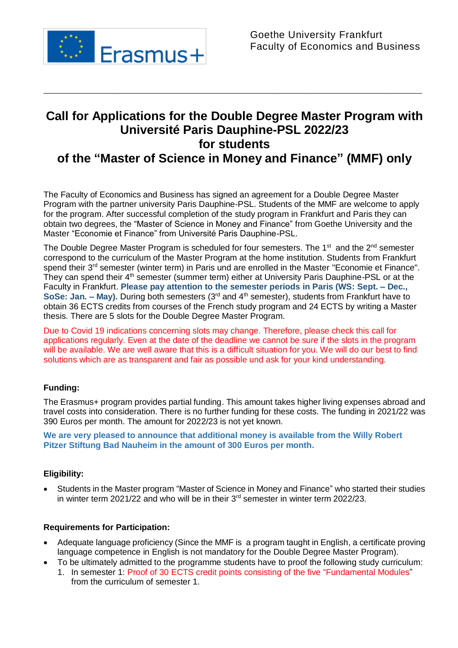

# **Call for Applications for the Double Degree Master Program with Université Paris Dauphine-PSL 2022/23 for students of the "Master of Science in Money and Finance" (MMF) only**

\_\_\_\_\_\_\_\_\_\_\_\_\_\_\_\_\_\_\_\_\_\_\_\_\_\_\_\_\_\_\_\_\_\_\_\_\_\_\_\_\_\_\_\_\_\_\_\_\_\_\_\_\_\_\_\_\_\_\_\_\_\_\_\_\_\_\_\_\_\_\_\_\_\_\_\_\_\_\_\_\_\_

The Faculty of Economics and Business has signed an agreement for a Double Degree Master Program with the partner university [Paris Dauphine-](http://www.dauphine.fr/)PSL. Students of the MMF are welcome to apply for the program. After successful completion of the study program in Frankfurt and Paris they can obtain two degrees, the "Master of Science in Money and Finance" from Goethe University and the Master "Economie et Finance" from Université Paris Dauphine-PSL.

The Double Degree Master Program is scheduled for four semesters. The  $1<sup>st</sup>$  and the  $2<sup>nd</sup>$  semester correspond to the curriculum of the Master Program at the home institution. Students from Frankfurt spend their 3<sup>rd</sup> semester (winter term) in Paris und are enrolled in the Master "Economie et Finance". They can spend their 4<sup>th</sup> semester (summer term) either at University Paris Dauphine-PSL or at the Faculty in Frankfurt. **Please pay attention to the semester periods in Paris (WS: Sept. – Dec., SoSe: Jan. – May).** During both semesters (3rd and 4th semester), students from Frankfurt have to obtain 36 ECTS credits from courses of the French study program and 24 ECTS by writing a Master thesis. There are 5 slots for the Double Degree Master Program.

Due to Covid 19 indications concerning slots may change. Therefore, please check this call for applications regularly. Even at the date of the deadline we cannot be sure if the slots in the program will be available. We are well aware that this is a difficult situation for you. We will do our best to find solutions which are as transparent and fair as possible und ask for your kind understanding.

### **Funding:**

The Erasmus+ program provides partial funding. This amount takes higher living expenses abroad and travel costs into consideration. There is no further funding for these costs. The funding in 2021/22 was 390 Euros per month. The amount for 2022/23 is not yet known.

**We are very pleased to announce that additional money is available from the Willy Robert Pitzer Stiftung Bad Nauheim in the amount of 300 Euros per month.**

#### **Eligibility:**

 Students in the Master program "Master of Science in Money and Finance" who started their studies in winter term 2021/22 and who will be in their 3<sup>rd</sup> semester in winter term 2022/23.

#### **Requirements for Participation:**

- Adequate language proficiency (Since the MMF is a program taught in English, a certificate proving language competence in English is not mandatory for the Double Degree Master Program).
- To be ultimately admitted to the programme students have to proof the following study curriculum:
	- 1. In semester 1: Proof of 30 ECTS credit points consisting of the five "Fundamental Modules" from the curriculum of semester 1.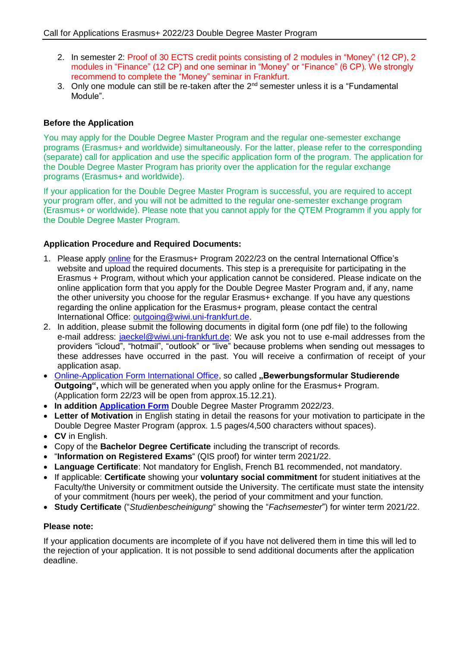- 2. In semester 2: Proof of 30 ECTS credit points consisting of 2 modules in "Money" (12 CP), 2 modules in "Finance" (12 CP) and one seminar in "Money" or "Finance" (6 CP). We strongly recommend to complete the "Money" seminar in Frankfurt.
- 3. Only one module can still be re-taken after the  $2^{nd}$  semester unless it is a "Fundamental Module".

#### **Before the Application**

You may apply for the Double Degree Master Program and the regular one-semester exchange programs (Erasmus+ and worldwide) simultaneously. For the latter, please refer to the corresponding (separate) call for application and use the specific application form of the program. The application for the Double Degree Master Program has priority over the application for the regular exchange programs (Erasmus+ and worldwide).

If your application for the Double Degree Master Program is successful, you are required to accept your program offer, and you will not be admitted to the regular one-semester exchange program (Erasmus+ or worldwide). Please note that you cannot apply for the QTEM Programm if you apply for the Double Degree Master Program.

#### **Application Procedure and Required Documents:**

- 1. Please apply [online](http://www.uni-frankfurt.de/38440951/reg1) for the Erasmus+ Program 2022/23 on the central International Office's website and upload the required documents. This step is a prerequisite for participating in the Erasmus + Program, without which your application cannot be considered. Please indicate on the online application form that you apply for the Double Degree Master Program and, if any, name the other university you choose for the regular Erasmus+ exchange. If you have any questions regarding the online application for the Erasmus+ program, please contact the central International Office: [outgoing@wiwi.uni-frankfurt.de.](mailto:outgoing@wiwi.uni-frankfurt.de)
- 2. In addition, please submit the following documents in digital form (one pdf file) to the following e-mail address: [jaeckel@wiwi.uni-frankfurt.de:](mailto:jaeckel@wiwi.uni-frankfurt.de) We ask you not to use e-mail addresses from the providers "icloud", "hotmail", "outlook" or "live" because problems when sending out messages to these addresses have occurred in the past. You will receive a confirmation of receipt of your application asap.
- Online-Application Form [International Office,](http://www.uni-frankfurt.de/38440951/reg1) so called **..Bewerbungsformular Studierende Outgoing",** which will be generated when you apply online for the Erasmus+ Program. (Application form 22/23 will be open from approx.15.12.21).
- **In addition [Application Form](https://www.wiwi.uni-frankfurt.de/fileadmin/user_upload/dateien_international/Ausschreibungen/Application_form_Master_2021_22_Double_Degree.docx)** Double Degree Master Programm 2022/23.
- **Letter of Motivation** in English stating in detail the reasons for your motivation to participate in the Double Degree Master Program (approx. 1.5 pages/4,500 characters without spaces).
- **CV** in English.
- Copy of the **Bachelor Degree Certificate** including the transcript of records.
- "**Information on Registered Exams**" (QIS proof) for winter term 2021/22.
- **Language Certificate**: Not mandatory for English, French B1 recommended, not mandatory.
- If applicable: **Certificate** showing your **voluntary social commitment** for student initiatives at the Faculty/the University or commitment outside the University. The certificate must state the intensity of your commitment (hours per week), the period of your commitment and your function.
- **Study Certificate** ("*Studienbescheinigung*" showing the "*Fachsemester*") for winter term 2021/22.

#### **Please note:**

If your application documents are incomplete of if you have not delivered them in time this will led to the rejection of your application. It is not possible to send additional documents after the application deadline.